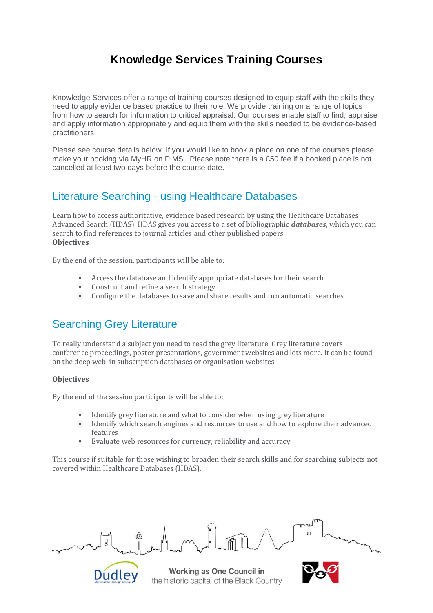# **Knowledge Services Training Courses**

Knowledge Services offer a range of training courses designed to equip staff with the skills they need to apply evidence based practice to their role. We provide training on a range of topics from how to search for information to critical appraisal. Our courses enable staff to find, appraise and apply information appropriately and equip them with the skills needed to be evidence-based practitioners.

Please see course details below. If you would like to book a place on one of the courses please make your booking via MyHR on PIMS. Please note there is a £50 fee if a booked place is not cancelled at least two days before the course date.

# Literature Searching - using Healthcare Databases

Learn how to access authoritative, evidence based research by using the Healthcare Databases Advanced Search (HDAS). HDAS gives you access to a set of bibliographic *databases*, which you can search to find references to journal articles and other published papers. **Objectives**

By the end of the session, participants will be able to:

- Access the database and identify appropriate databases for their search
- Construct and refine a search strategy
- Configure the databases to save and share results and run automatic searches

# Searching Grey Literature

**Dudle** 

To really understand a subject you need to read the grey literature. Grey literature covers conference proceedings, poster presentations, government websites and lots more. It can be found on the deep web, in subscription databases or organisation websites.

#### **Objectives**

By the end of the session participants will be able to:

- Identify grey literature and what to consider when using grey literature
- Identify which search engines and resources to use and how to explore their advanced features
- Evaluate web resources for currency, reliability and accuracy

This course if suitable for those wishing to broaden their search skills and for searching subjects not covered within Healthcare Databases (HDAS).

Working as One Council in the historic capital of the Black Country